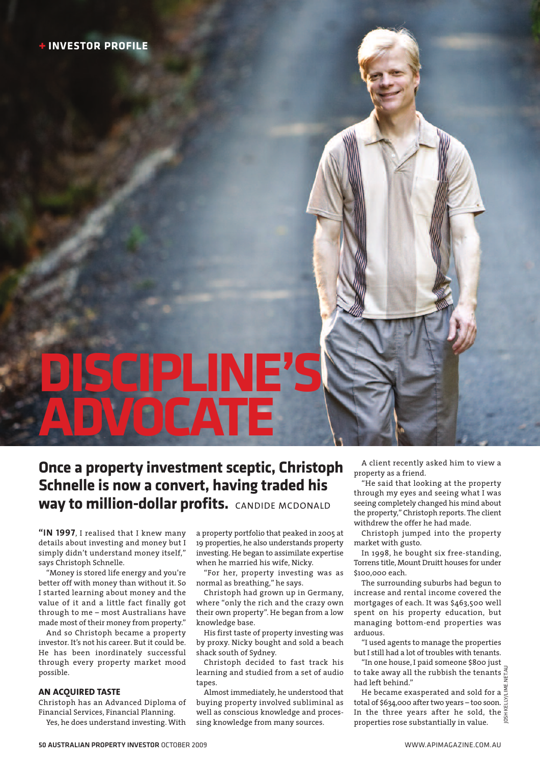# **DISCIPLINE'S ATF**

### **Once a property investment sceptic, Christoph Schnelle is now a convert, having traded his way to million-dollar profits.** CANDIDE MCDONALD

**"IN 1997**, I realised that I knew many details about investing and money but I simply didn't understand money itself," says Christoph Schnelle.

"Money is stored life energy and you're better off with money than without it. So I started learning about money and the value of it and a little fact finally got through to me – most Australians have made most of their money from property."

And so Christoph became a property investor. It's not his career. But it could be. He has been inordinately successful through every property market mood possible.

### **AN ACQUIRED TASTE**

Christoph has an Advanced Diploma of Financial Services, Financial Planning.

Yes, he does understand investing. With

a property portfolio that peaked in 2005 at 19 properties, he also understands property investing. He began to assimilate expertise when he married his wife, Nicky.

"For her, property investing was as normal as breathing," he says.

Christoph had grown up in Germany, where "only the rich and the crazy own their own property". He began from a low knowledge base.

His first taste of property investing was by proxy. Nicky bought and sold a beach shack south of Sydney.

Christoph decided to fast track his learning and studied from a set of audio tapes.

Almost immediately, he understood that buying property involved subliminal as well as conscious knowledge and processing knowledge from many sources.

A client recently asked him to view a property as a friend.

"He said that looking at the property through my eyes and seeing what I was seeing completely changed his mind about the property," Christoph reports. The client withdrew the offer he had made.

Christoph jumped into the property market with gusto.

In 1998, he bought six free-standing, Torrens title, Mount Druitt houses for under \$100,000 each.

The surrounding suburbs had begun to increase and rental income covered the mortgages of each. It was \$463,500 well spent on his property education, but managing bottom-end properties was arduous.

"I used agents to manage the properties but I still had a lot of troubles with tenants.

"In one house, I paid someone \$800 just to take away all the rubbish the tenants had left behind."

JOSH KELLY/LIME.NET.AU He became exasperated and sold for a total of \$634,000 after two years – too soon. In the three years after he sold, the  $\frac{3}{5}$ properties rose substantially in value.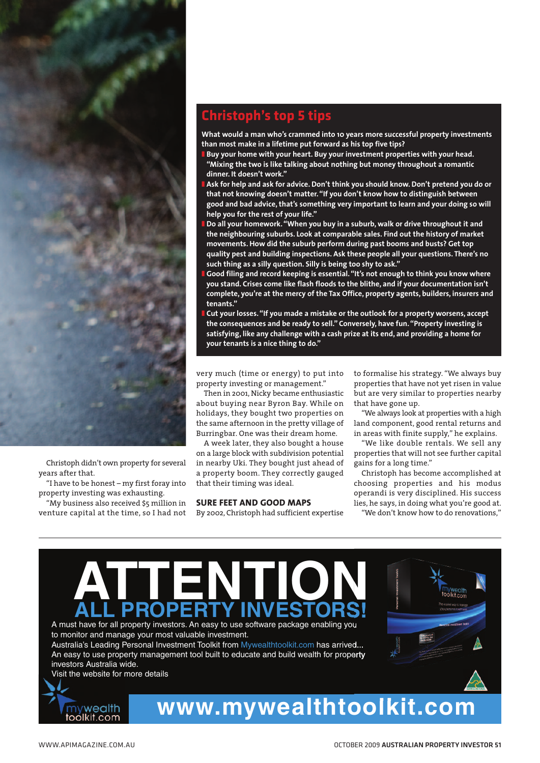

Christoph didn't own property for several years after that.

"I have to be honest – my first foray into property investing was exhausting.

"My business also received \$5 million in venture capital at the time, so I had not

### **Christoph's top 5 tips**

**What would a man who's crammed into 10 years more successful property investments than most make in a lifetime put forward as his top five tips?**

- **❚ Buy your home with your heart. Buy your investment properties with your head. "Mixing the two is like talking about nothing but money throughout a romantic dinner. It doesn't work."**
- **❚ Ask for help and ask for advice. Don't think you should know. Don't pretend you do or that not knowing doesn't matter."If you don't know how to distinguish between good and bad advice,that's something very important to learn and your doing so will help you for the rest of your life."**
- **❚ Do all your homework."When you buy in a suburb, walk or drive throughout it and the neighbouring suburbs. Look at comparable sales. Find out the history of market movements. How did the suburb perform during past booms and busts? Get top quality pest and building inspections. Ask these people all your questions. There's no such thing as a silly question. Silly is being too shy to ask."**
- **❚ Good filing and record keeping is essential."It's not enough to think you know where you stand. Crises come like flash floods to the blithe, and if your documentation isn't complete, you're at the mercy of the Tax Office, property agents, builders, insurers and tenants."**
- **❚ Cut your losses."If you made a mistake or the outlook for a property worsens, accept the consequences and be ready to sell." Conversely, have fun."Property investing is satisfying, like any challenge with a cash prize at its end, and providing a home for your tenants is a nice thing to do."**

very much (time or energy) to put into property investing or management."

Then in 2001, Nicky became enthusiastic about buying near Byron Bay. While on holidays, they bought two properties on the same afternoon in the pretty village of Burringbar. One was their dream home.

A week later, they also bought a house on a large block with subdivision potential in nearby Uki. They bought just ahead of a property boom. They correctly gauged that their timing was ideal.

### **SURE FEET AND GOOD MAPS**

By 2002, Christoph had sufficient expertise

to formalise his strategy. "We always buy properties that have not yet risen in value but are very similar to properties nearby that have gone up.

"We always look at properties with a high land component, good rental returns and in areas with finite supply," he explains.

"We like double rentals. We sell any properties that will not see further capital gains for a long time."

Christoph has become accomplished at choosing properties and his modus operandi is very disciplined. His success lies, he says, in doing what you're good at.

"We don't know how to do renovations,"

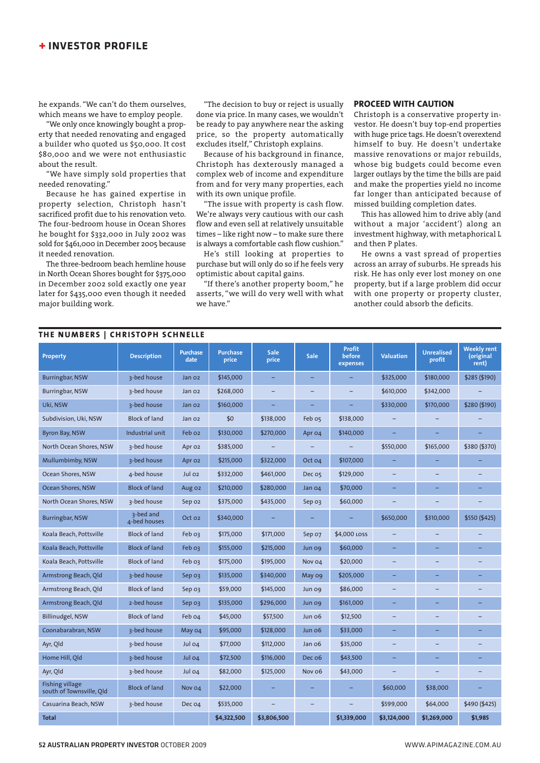### **+ INVESTOR PROFILE**

he expands. "We can't do them ourselves, which means we have to employ people.

"We only once knowingly bought a property that needed renovating and engaged a builder who quoted us \$50,000. It cost \$80,000 and we were not enthusiastic about the result.

"We have simply sold properties that needed renovating."

Because he has gained expertise in property selection, Christoph hasn't sacrificed profit due to his renovation veto. The four-bedroom house in Ocean Shores he bought for \$332,000 in July 2002 was sold for \$461,000 in December 2005 because it needed renovation.

The three-bedroom beach hemline house in North Ocean Shores bought for \$375,000 in December 2002 sold exactly one year later for \$435,000 even though it needed major building work.

"The decision to buy or reject is usually done via price. In many cases, we wouldn't be ready to pay anywhere near the asking price, so the property automatically excludes itself," Christoph explains.

Because of his background in finance, Christoph has dexterously managed a complex web of income and expenditure from and for very many properties, each with its own unique profile.

"The issue with property is cash flow. We're always very cautious with our cash flow and even sell at relatively unsuitable times – like right now – to make sure there is always a comfortable cash flow cushion."

He's still looking at properties to purchase but will only do so if he feels very optimistic about capital gains.

"If there's another property boom," he asserts, "we will do very well with what we have."

### **PROCEED WITH CAUTION**

Christoph is a conservative property investor. He doesn't buy top-end properties with huge price tags. He doesn't overextend himself to buy. He doesn't undertake massive renovations or major rebuilds, whose big budgets could become even larger outlays by the time the bills are paid and make the properties yield no income far longer than anticipated because of missed building completion dates.

This has allowed him to drive ably (and without a major 'accident') along an investment highway, with metaphorical L and then P plates.

He owns a vast spread of properties across an array of suburbs. He spreads his risk. He has only ever lost money on one property, but if a large problem did occur with one property or property cluster. another could absorb the deficits.

| THE NUMBERS   CHRISTOPH SCHNELLE                   |                           |                         |                          |               |                          |                                     |                          |                             |                                          |
|----------------------------------------------------|---------------------------|-------------------------|--------------------------|---------------|--------------------------|-------------------------------------|--------------------------|-----------------------------|------------------------------------------|
| <b>Property</b>                                    | <b>Description</b>        | <b>Purchase</b><br>date | <b>Purchase</b><br>price | Sale<br>price | <b>Sale</b>              | <b>Profit</b><br>before<br>expenses | <b>Valuation</b>         | <b>Unrealised</b><br>profit | <b>Weekly rent</b><br>(original<br>rent) |
| Burringbar, NSW                                    | 3-bed house               | Jan 02                  | \$145,000                | -             | $\overline{\phantom{0}}$ |                                     | \$325,000                | \$180,000                   | \$285 (\$190)                            |
| Burringbar, NSW                                    | 3-bed house               | Jan 02                  | \$268,000                |               |                          |                                     | \$610,000                | \$342,000                   |                                          |
| Uki, NSW                                           | 3-bed house               | Jan 02                  | \$160,000                |               |                          |                                     | \$330,000                | \$170,000                   | \$280 (\$190)                            |
| Subdivision, Uki, NSW                              | <b>Block of land</b>      | Jan 02                  | \$0                      | \$138,000     | Feb os                   | \$138,000                           |                          |                             |                                          |
| <b>Byron Bay, NSW</b>                              | Industrial unit           | Feb o2                  | \$130,000                | \$270,000     | Apr 04                   | \$140,000                           |                          |                             |                                          |
| North Ocean Shores, NSW                            | 3-bed house               | Apr 02                  | \$385,000                |               |                          |                                     | \$550,000                | \$165,000                   | \$380 (\$370)                            |
| Mullumbimby, NSW                                   | 3-bed house               | Apr 02                  | \$215,000                | \$322,000     | Oct 04                   | \$107,000                           |                          |                             |                                          |
| Ocean Shores, NSW                                  | 4-bed house               | Jul 02                  | \$332,000                | \$461,000     | Dec 05                   | \$129,000                           | $\overline{\phantom{0}}$ | -                           |                                          |
| Ocean Shores, NSW                                  | <b>Block of land</b>      | Aug 02                  | \$210,000                | \$280,000     | Jan 04                   | \$70,000                            | -                        | -                           | -                                        |
| North Ocean Shores, NSW                            | 3-bed house               | Sep 02                  | \$375,000                | \$435,000     | Sep 03                   | \$60,000                            | $\overline{\phantom{0}}$ |                             |                                          |
| <b>Burringbar, NSW</b>                             | 3-bed and<br>4-bed houses | Oct 02                  | \$340,000                |               |                          |                                     | \$650,000                | \$310,000                   | \$550 (\$425)                            |
| Koala Beach, Pottsville                            | <b>Block of land</b>      | Feb 03                  | \$175,000                | \$171,000     | Sep 07                   | \$4,000 LOSS                        | $\overline{\phantom{0}}$ | $\overline{\phantom{0}}$    |                                          |
| Koala Beach, Pottsville                            | <b>Block of land</b>      | Feb 03                  | \$155,000                | \$215,000     | Jun og                   | \$60,000                            | -                        |                             |                                          |
| Koala Beach, Pottsville                            | <b>Block of land</b>      | Feb 03                  | \$175,000                | \$195,000     | Nov 04                   | \$20,000                            | ۳                        | $\overline{\phantom{0}}$    | $\overline{\phantom{0}}$                 |
| Armstrong Beach, Old                               | 3-bed house               | Sep 03                  | \$135,000                | \$340,000     | May og                   | \$205,000                           | -                        | ÷,                          |                                          |
| Armstrong Beach, Old                               | <b>Block of land</b>      | Sep 03                  | \$59,000                 | \$145,000     | Jun og                   | \$86,000                            | $\qquad \qquad -$        | $\overline{\phantom{0}}$    | $\overline{\phantom{0}}$                 |
| Armstrong Beach, Qld                               | 2-bed house               | Sep 03                  | \$135,000                | \$296,000     | Jun og                   | \$161,000                           | Ξ                        | ÷,                          | ÷,                                       |
| Billinudgel, NSW                                   | <b>Block of land</b>      | Feb 04                  | \$45,000                 | \$57,500      | Jun 06                   | \$12,500                            | $\overline{\phantom{0}}$ | $\overline{\phantom{0}}$    | -                                        |
| Coonabarabran, NSW                                 | 3-bed house               | May 04                  | \$95,000                 | \$128,000     | Jun 06                   | \$33,000                            |                          |                             |                                          |
| Ayr, Qld                                           | 3-bed house               | Jul 04                  | \$77,000                 | \$112,000     | Jan 06                   | \$35,000                            | $\qquad \qquad -$        |                             |                                          |
| Home Hill, Qld                                     | 3-bed house               | Jul 04                  | \$72,500                 | \$116,000     | Dec o6                   | \$43,500                            |                          |                             |                                          |
| Ayr, Qld                                           | 3-bed house               | Jul 04                  | \$82,000                 | \$125,000     | Nov o6                   | \$43,000                            |                          |                             |                                          |
| <b>Fishing village</b><br>south of Townsville, Old | <b>Block of land</b>      | Nov 04                  | \$22,000                 |               |                          |                                     | \$60,000                 | \$38,000                    |                                          |
| Casuarina Beach, NSW                               | 3-bed house               | Dec 04                  | \$535,000                |               |                          |                                     | \$599,000                | \$64,000                    | \$490 (\$425)                            |
| <b>Total</b>                                       |                           |                         | \$4,322,500              | \$3,806,500   |                          | \$1,339,000                         | \$3,124,000              | \$1,269,000                 | \$1,985                                  |

#### **52 AUSTRALIAN PROPERTY INVESTOR** OCTOBER 2009 WWW.APIMAGAZINE.COM.AU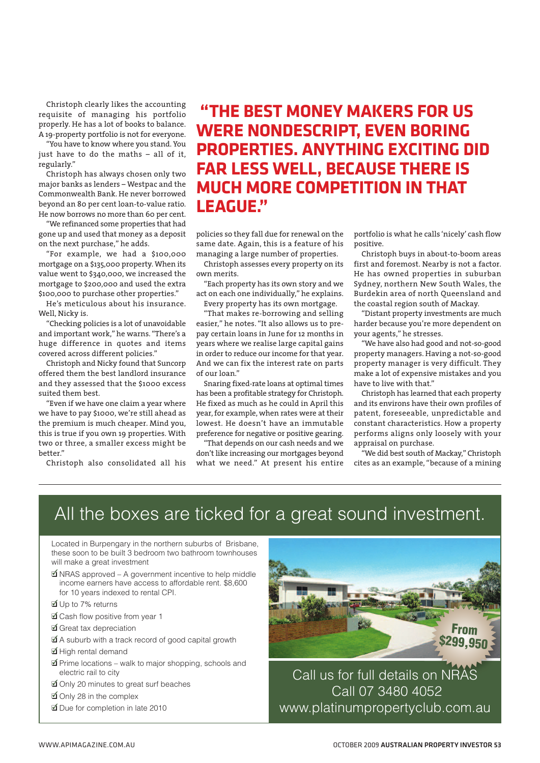Christoph clearly likes the accounting requisite of managing his portfolio properly. He has a lot of books to balance. A 19-property portfolio is not for everyone.

"You have to know where you stand. You just have to do the maths – all of it, regularly."

Christoph has always chosen only two major banks as lenders – Westpac and the Commonwealth Bank. He never borrowed beyond an 80 per cent loan-to-value ratio. He now borrows no more than 60 per cent.

"We refinanced some properties that had gone up and used that money as a deposit on the next purchase," he adds.

"For example, we had a \$100,000 mortgage on a \$135,000 property. When its value went to \$340,000, we increased the mortgage to \$200,000 and used the extra \$100,000 to purchase other properties."

He's meticulous about his insurance. Well, Nicky is.

"Checking policies is a lot of unavoidable and important work," he warns. "There's a huge difference in quotes and items covered across different policies."

Christoph and Nicky found that Suncorp offered them the best landlord insurance and they assessed that the \$1000 excess suited them best.

"Even if we have one claim a year where we have to pay \$1000, we're still ahead as the premium is much cheaper. Mind you, this is true if you own 19 properties. With two or three, a smaller excess might be better."

Christoph also consolidated all his

### **"THE BEST MONEY MAKERS FOR US WERE NONDESCRIPT, EVEN BORING PROPERTIES. ANYTHING EXCITING DID FAR LESS WELL, BECAUSE THERE IS MUCH MORE COMPETITION IN THAT LEAGUE."**

policies so they fall due for renewal on the same date. Again, this is a feature of his managing a large number of properties.

Christoph assesses every property on its own merits.

"Each property has its own story and we act on each one individually," he explains.

Every property has its own mortgage.

"That makes re-borrowing and selling easier," he notes. "It also allows us to prepay certain loans in June for 12 months in years where we realise large capital gains in order to reduce our income for that year. And we can fix the interest rate on parts of our loan."

Snaring fixed-rate loans at optimal times has been a profitable strategy for Christoph. He fixed as much as he could in April this year,for example, when rates were at their lowest. He doesn't have an immutable preference for negative or positive gearing.

"That depends on our cash needs and we don't like increasing our mortgages beyond what we need." At present his entire

portfolio is what he calls 'nicely' cash flow positive.

Christoph buys in about-to-boom areas first and foremost. Nearby is not a factor. He has owned properties in suburban Sydney, northern New South Wales, the Burdekin area of north Queensland and the coastal region south of Mackay.

"Distant property investments are much harder because you're more dependent on your agents," he stresses.

"We have also had good and not-so-good property managers. Having a not-so-good property manager is very difficult. They make a lot of expensive mistakes and you have to live with that."

Christoph has learned that each property and its environs have their own profiles of patent, foreseeable, unpredictable and constant characteristics. How a property performs aligns only loosely with your appraisal on purchase.

"We did best south of Mackay," Christoph cites as an example, "because of a mining

## All the boxes are ticked for a great sound investment.

Located in Burpengary in the northern suburbs of Brisbane, these soon to be built 3 bedroom two bathroom townhouses will make a great investment

- **Ø** NRAS approved A government incentive to help middle income earners have access to affordable rent. \$8,600 for 10 years indexed to rental CPI.
- ❑ Up to 7% returns ✓
- **Ø** Cash flow positive from vear 1
- **☑** Great tax depreciation
- $\triangle$  A suburb with a track record of good capital growth
- **Ø** High rental demand
- **Ø** Prime locations walk to maior shopping, schools and electric rail to city
- **⊈** Only 20 minutes to great surf beaches
- Only 28 in the complex
- Due for completion in late 2010



Call us for full details on NRAS Call 07 3480 4052 www.platinumpropertyclub.com.au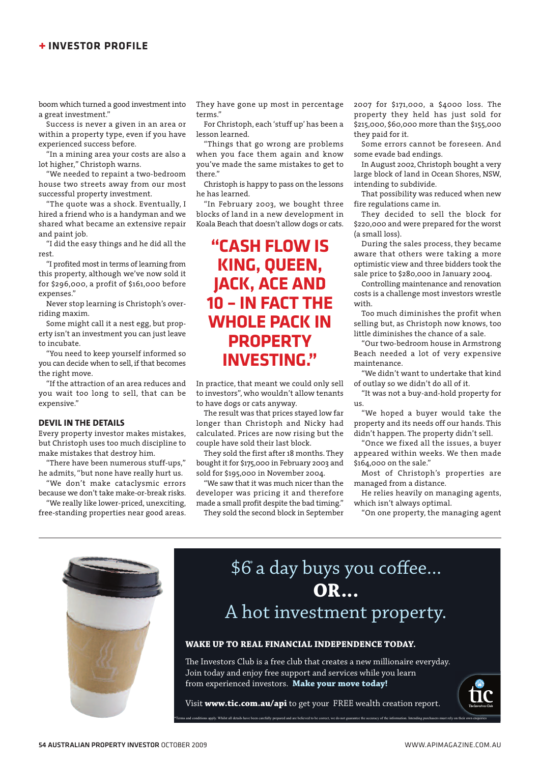### **+ INVESTOR PROFILE**

boom which turned a good investment into a great investment."

Success is never a given in an area or within a property type, even if you have experienced success before.

"In a mining area your costs are also a lot higher," Christoph warns.

"We needed to repaint a two-bedroom house two streets away from our most successful property investment.

"The quote was a shock. Eventually, I hired a friend who is a handyman and we shared what became an extensive repair and paint job.

"I did the easy things and he did all the rest.

"I profited most in terms of learning from this property, although we've now sold it for \$296,000, a profit of \$161,000 before expenses."

Never stop learning is Christoph's overriding maxim.

Some might call it a nest egg, but property isn't an investment you can just leave to incubate.

"You need to keep yourself informed so you can decide when to sell, if that becomes the right move.

"If the attraction of an area reduces and you wait too long to sell, that can be expensive."

### **DEVIL IN THE DETAILS**

Every property investor makes mistakes, but Christoph uses too much discipline to make mistakes that destroy him.

"There have been numerous stuff-ups," he admits, "but none have really hurt us.

"We don't make cataclysmic errors because we don't take make-or-break risks.

"We really like lower-priced, unexciting, free-standing properties near good areas.

They have gone up most in percentage terms."

For Christoph, each 'stuff up' has been a lesson learned.

"Things that go wrong are problems when you face them again and know you've made the same mistakes to get to there."

Christoph is happy to pass on the lessons he has learned.

"In February 2003, we bought three blocks of land in a new development in Koala Beach that doesn't allow dogs or cats.

### **"CASH FLOW IS KING, QUEEN, JACK, ACE AND 10 – IN FACT THE WHOLE PACK IN PROPERTY INVESTING."**

In practice, that meant we could only sell to investors", who wouldn't allow tenants to have dogs or cats anyway.

The result was that prices stayed low far longer than Christoph and Nicky had calculated. Prices are now rising but the couple have sold their last block.

They sold the first after 18 months. They bought it for \$175,000 in February 2003 and sold for \$195,000 in November 2004.

"We saw that it was much nicer than the developer was pricing it and therefore made a small profit despite the bad timing." They sold the second block in September

2007 for \$171,000, a \$4000 loss. The property they held has just sold for \$215,000, \$60,000 more than the \$155,000 they paid for it.

Some errors cannot be foreseen. And some evade bad endings.

In August 2002, Christoph bought a very large block of land in Ocean Shores, NSW, intending to subdivide.

That possibility was reduced when new fire regulations came in.

They decided to sell the block for \$220,000 and were prepared for the worst (a small loss).

During the sales process, they became aware that others were taking a more optimistic view and three bidders took the sale price to \$280,000 in January 2004.

Controlling maintenance and renovation costs is a challenge most investors wrestle with.

Too much diminishes the profit when selling but, as Christoph now knows, too little diminishes the chance of a sale.

"Our two-bedroom house in Armstrong Beach needed a lot of very expensive maintenance.

"We didn't want to undertake that kind of outlay so we didn't do all of it.

"It was not a buy-and-hold property for us.

"We hoped a buyer would take the property and its needs off our hands. This didn't happen. The property didn't sell.

"Once we fixed all the issues, a buyer appeared within weeks. We then made \$164,000 on the sale."

Most of Christoph's properties are managed from a distance.

He relies heavily on managing agents, which isn't always optimal.

"On one property, the managing agent



# \$6° a day buys you coffee... **OR...** A hot investment property.

### **WAKE UP TO REAL FINANCIAL INDEPENDENCE TODAY.**

The Investors Club is a free club that creates a new millionaire everyday. Join today and enjoy free support and services while you learn from experienced investors. **Make your move today!** 

Visit **www.tic.com.au/api** to get your FREE wealth creation report. .<br>Whilst all details have been carefully prepared and are believed to be correct, we do not guarantee the accuracy of the inf